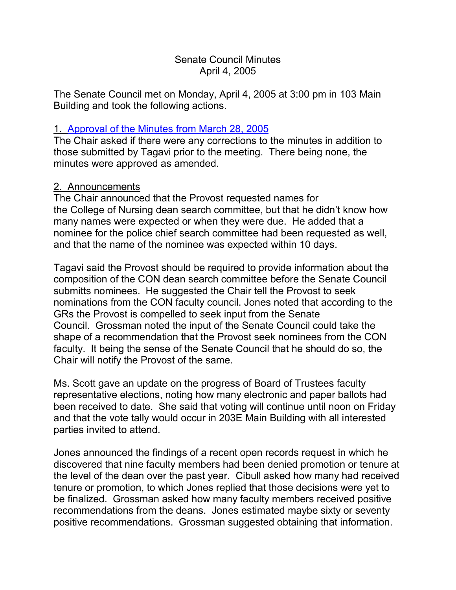### Senate Council Minutes April 4, 2005

The Senate Council met on Monday, April 4, 2005 at 3:00 pm in 103 Main Building and took the following actions.

### 1. [Approval of the Minutes](http://www.uky.edu/USC/New/SCMinutes/SC%20Minutes%20March%2028%202005%20FINAL.htm) from March 28, 2005

The Chair asked if there were any corrections to the minutes in addition to those submitted by Tagavi prior to the meeting. There being none, the minutes were approved as amended.

### 2. Announcements

The Chair announced that the Provost requested names for the College of Nursing dean search committee, but that he didn't know how many names were expected or when they were due. He added that a nominee for the police chief search committee had been requested as well, and that the name of the nominee was expected within 10 days.

Tagavi said the Provost should be required to provide information about the composition of the CON dean search committee before the Senate Council submitts nominees. He suggested the Chair tell the Provost to seek nominations from the CON faculty council. Jones noted that according to the GRs the Provost is compelled to seek input from the Senate Council. Grossman noted the input of the Senate Council could take the shape of a recommendation that the Provost seek nominees from the CON faculty. It being the sense of the Senate Council that he should do so, the Chair will notify the Provost of the same.

Ms. Scott gave an update on the progress of Board of Trustees faculty representative elections, noting how many electronic and paper ballots had been received to date. She said that voting will continue until noon on Friday and that the vote tally would occur in 203E Main Building with all interested parties invited to attend.

Jones announced the findings of a recent open records request in which he discovered that nine faculty members had been denied promotion or tenure at the level of the dean over the past year. Cibull asked how many had received tenure or promotion, to which Jones replied that those decisions were yet to be finalized. Grossman asked how many faculty members received positive recommendations from the deans. Jones estimated maybe sixty or seventy positive recommendations. Grossman suggested obtaining that information.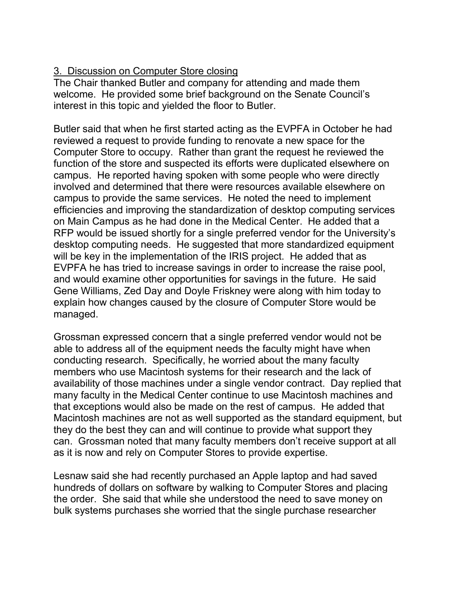# 3. Discussion on Computer Store closing

The Chair thanked Butler and company for attending and made them welcome. He provided some brief background on the Senate Council's interest in this topic and yielded the floor to Butler.

Butler said that when he first started acting as the EVPFA in October he had reviewed a request to provide funding to renovate a new space for the Computer Store to occupy. Rather than grant the request he reviewed the function of the store and suspected its efforts were duplicated elsewhere on campus. He reported having spoken with some people who were directly involved and determined that there were resources available elsewhere on campus to provide the same services. He noted the need to implement efficiencies and improving the standardization of desktop computing services on Main Campus as he had done in the Medical Center. He added that a RFP would be issued shortly for a single preferred vendor for the University's desktop computing needs. He suggested that more standardized equipment will be key in the implementation of the IRIS project. He added that as EVPFA he has tried to increase savings in order to increase the raise pool, and would examine other opportunities for savings in the future. He said Gene Williams, Zed Day and Doyle Friskney were along with him today to explain how changes caused by the closure of Computer Store would be managed.

Grossman expressed concern that a single preferred vendor would not be able to address all of the equipment needs the faculty might have when conducting research. Specifically, he worried about the many faculty members who use Macintosh systems for their research and the lack of availability of those machines under a single vendor contract. Day replied that many faculty in the Medical Center continue to use Macintosh machines and that exceptions would also be made on the rest of campus. He added that Macintosh machines are not as well supported as the standard equipment, but they do the best they can and will continue to provide what support they can. Grossman noted that many faculty members don't receive support at all as it is now and rely on Computer Stores to provide expertise.

Lesnaw said she had recently purchased an Apple laptop and had saved hundreds of dollars on software by walking to Computer Stores and placing the order. She said that while she understood the need to save money on bulk systems purchases she worried that the single purchase researcher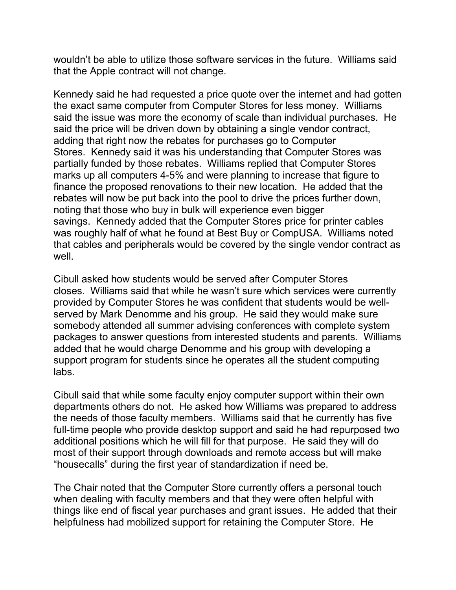wouldn't be able to utilize those software services in the future. Williams said that the Apple contract will not change.

Kennedy said he had requested a price quote over the internet and had gotten the exact same computer from Computer Stores for less money. Williams said the issue was more the economy of scale than individual purchases. He said the price will be driven down by obtaining a single vendor contract, adding that right now the rebates for purchases go to Computer Stores. Kennedy said it was his understanding that Computer Stores was partially funded by those rebates. Williams replied that Computer Stores marks up all computers 4-5% and were planning to increase that figure to finance the proposed renovations to their new location. He added that the rebates will now be put back into the pool to drive the prices further down, noting that those who buy in bulk will experience even bigger savings. Kennedy added that the Computer Stores price for printer cables was roughly half of what he found at Best Buy or CompUSA. Williams noted that cables and peripherals would be covered by the single vendor contract as well.

Cibull asked how students would be served after Computer Stores closes. Williams said that while he wasn't sure which services were currently provided by Computer Stores he was confident that students would be wellserved by Mark Denomme and his group. He said they would make sure somebody attended all summer advising conferences with complete system packages to answer questions from interested students and parents. Williams added that he would charge Denomme and his group with developing a support program for students since he operates all the student computing labs.

Cibull said that while some faculty enjoy computer support within their own departments others do not. He asked how Williams was prepared to address the needs of those faculty members. Williams said that he currently has five full-time people who provide desktop support and said he had repurposed two additional positions which he will fill for that purpose. He said they will do most of their support through downloads and remote access but will make "housecalls" during the first year of standardization if need be.

The Chair noted that the Computer Store currently offers a personal touch when dealing with faculty members and that they were often helpful with things like end of fiscal year purchases and grant issues. He added that their helpfulness had mobilized support for retaining the Computer Store. He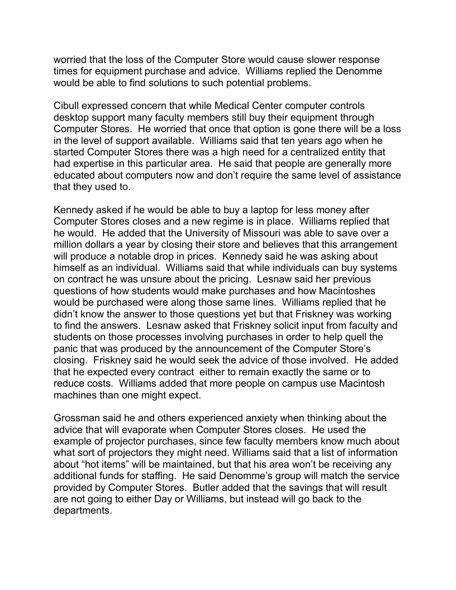worried that the loss of the Computer Store would cause slower response times for equipment purchase and advice. Williams replied the Denomme would be able to find solutions to such potential problems.

Cibull expressed concern that while Medical Center computer controls desktop support many faculty members still buy their equipment through Computer Stores. He worried that once that option is gone there will be a loss in the level of support available. Williams said that ten years ago when he started Computer Stores there was a high need for a centralized entity that had expertise in this particular area. He said that people are generally more educated about computers now and don't require the same level of assistance that they used to.

Kennedy asked if he would be able to buy a laptop for less money after Computer Stores closes and a new regime is in place. Williams replied that he would. He added that the University of Missouri was able to save over a million dollars a year by closing their store and believes that this arrangement will produce a notable drop in prices. Kennedy said he was asking about himself as an individual. Williams said that while individuals can buy systems on contract he was unsure about the pricing. Lesnaw said her previous questions of how students would make purchases and how Macintoshes would be purchased were along those same lines. Williams replied that he didn't know the answer to those questions yet but that Friskney was working to find the answers. Lesnaw asked that Friskney solicit input from faculty and students on those processes involving purchases in order to help quell the panic that was produced by the announcement of the Computer Store's closing. Friskney said he would seek the advice of those involved. He added that he expected every contract either to remain exactly the same or to reduce costs. Williams added that more people on campus use Macintosh machines than one might expect.

Grossman said he and others experienced anxiety when thinking about the advice that will evaporate when Computer Stores closes. He used the example of projector purchases, since few faculty members know much about what sort of projectors they might need. Williams said that a list of information about "hot items" will be maintained, but that his area won't be receiving any additional funds for staffing. He said Denomme's group will match the service provided by Computer Stores. Butler added that the savings that will result are not going to either Day or Williams, but instead will go back to the departments.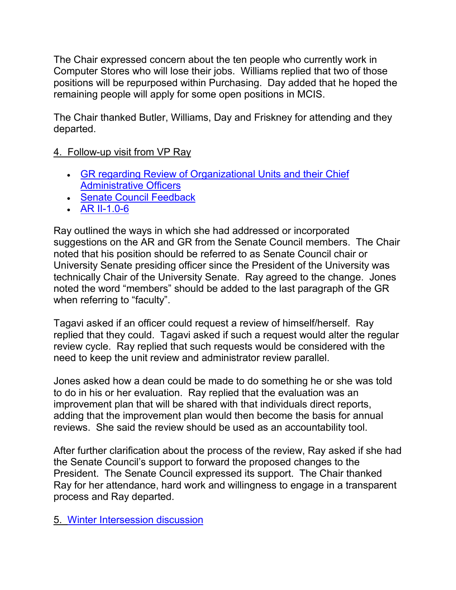The Chair expressed concern about the ten people who currently work in Computer Stores who will lose their jobs. Williams replied that two of those positions will be repurposed within Purchasing. Day added that he hoped the remaining people will apply for some open positions in MCIS.

The Chair thanked Butler, Williams, Day and Friskney for attending and they departed.

## 4. Follow-up visit from VP Ray

- [GR regarding Review of Organizational Units and their Chief](http://www.uky.edu/USC/New/SCAgendas/20050404/Governing%20Regulations%20Final%20Draft%203-15-05.doc)  [Administrative Officers](http://www.uky.edu/USC/New/SCAgendas/20050404/Governing%20Regulations%20Final%20Draft%203-15-05.doc)
- [Senate Council Feedback](http://www.uky.edu/USC/New/SCAgendas/20050404/Senate%20Council%20Feedback.doc)
- [AR II-1.0-6](http://www.uky.edu/USC/New/SCAgendas/20050404/AR%20II-1.0-6%20FINAL%20DRAFT%202-7-05.doc)

Ray outlined the ways in which she had addressed or incorporated suggestions on the AR and GR from the Senate Council members. The Chair noted that his position should be referred to as Senate Council chair or University Senate presiding officer since the President of the University was technically Chair of the University Senate. Ray agreed to the change. Jones noted the word "members" should be added to the last paragraph of the GR when referring to "faculty".

Tagavi asked if an officer could request a review of himself/herself. Ray replied that they could. Tagavi asked if such a request would alter the regular review cycle. Ray replied that such requests would be considered with the need to keep the unit review and administrator review parallel.

Jones asked how a dean could be made to do something he or she was told to do in his or her evaluation. Ray replied that the evaluation was an improvement plan that will be shared with that individuals direct reports, adding that the improvement plan would then become the basis for annual reviews. She said the review should be used as an accountability tool.

After further clarification about the process of the review, Ray asked if she had the Senate Council's support to forward the proposed changes to the President. The Senate Council expressed its support. The Chair thanked Ray for her attendance, hard work and willingness to engage in a transparent process and Ray departed.

#### 5. [Winter Intersession discussion](http://www.uky.edu/USC/New/SCAgendas/20050328/Winter%20Intersession%202004-05%20Report%2020050303.doc)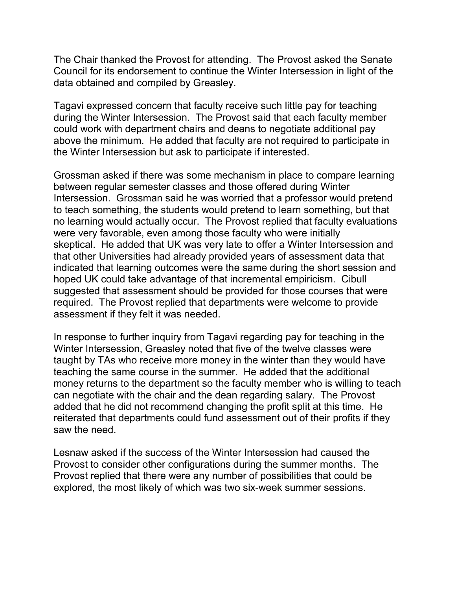The Chair thanked the Provost for attending. The Provost asked the Senate Council for its endorsement to continue the Winter Intersession in light of the data obtained and compiled by Greasley.

Tagavi expressed concern that faculty receive such little pay for teaching during the Winter Intersession. The Provost said that each faculty member could work with department chairs and deans to negotiate additional pay above the minimum. He added that faculty are not required to participate in the Winter Intersession but ask to participate if interested.

Grossman asked if there was some mechanism in place to compare learning between regular semester classes and those offered during Winter Intersession. Grossman said he was worried that a professor would pretend to teach something, the students would pretend to learn something, but that no learning would actually occur. The Provost replied that faculty evaluations were very favorable, even among those faculty who were initially skeptical. He added that UK was very late to offer a Winter Intersession and that other Universities had already provided years of assessment data that indicated that learning outcomes were the same during the short session and hoped UK could take advantage of that incremental empiricism. Cibull suggested that assessment should be provided for those courses that were required. The Provost replied that departments were welcome to provide assessment if they felt it was needed.

In response to further inquiry from Tagavi regarding pay for teaching in the Winter Intersession, Greasley noted that five of the twelve classes were taught by TAs who receive more money in the winter than they would have teaching the same course in the summer. He added that the additional money returns to the department so the faculty member who is willing to teach can negotiate with the chair and the dean regarding salary. The Provost added that he did not recommend changing the profit split at this time. He reiterated that departments could fund assessment out of their profits if they saw the need.

Lesnaw asked if the success of the Winter Intersession had caused the Provost to consider other configurations during the summer months. The Provost replied that there were any number of possibilities that could be explored, the most likely of which was two six-week summer sessions.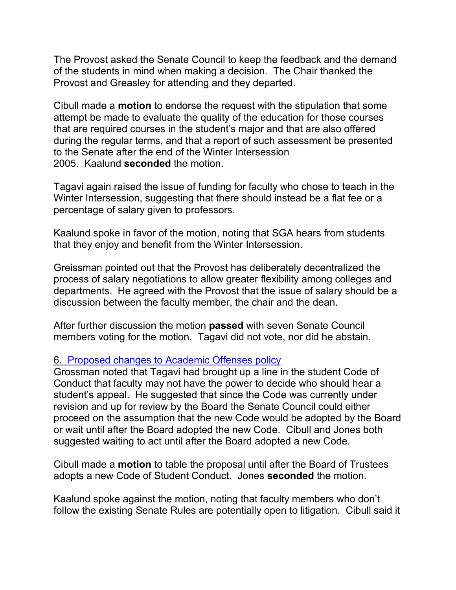The Provost asked the Senate Council to keep the feedback and the demand of the students in mind when making a decision. The Chair thanked the Provost and Greasley for attending and they departed.

Cibull made a **motion** to endorse the request with the stipulation that some attempt be made to evaluate the quality of the education for those courses that are required courses in the student's major and that are also offered during the regular terms, and that a report of such assessment be presented to the Senate after the end of the Winter Intersession 2005. Kaalund **seconded** the motion.

Tagavi again raised the issue of funding for faculty who chose to teach in the Winter Intersession, suggesting that there should instead be a flat fee or a percentage of salary given to professors.

Kaalund spoke in favor of the motion, noting that SGA hears from students that they enjoy and benefit from the Winter Intersession.

Greissman pointed out that the Provost has deliberately decentralized the process of salary negotiations to allow greater flexibility among colleges and departments. He agreed with the Provost that the issue of salary should be a discussion between the faculty member, the chair and the dean.

After further discussion the motion **passed** with seven Senate Council members voting for the motion. Tagavi did not vote, nor did he abstain.

### 6. [Proposed changes to Academic Offenses policy](http://www.chem.uky.edu/research/grossman/prop_acad_offenses.pdf)

Grossman noted that Tagavi had brought up a line in the student Code of Conduct that faculty may not have the power to decide who should hear a student's appeal. He suggested that since the Code was currently under revision and up for review by the Board the Senate Council could either proceed on the assumption that the new Code would be adopted by the Board or wait until after the Board adopted the new Code. Cibull and Jones both suggested waiting to act until after the Board adopted a new Code.

Cibull made a **motion** to table the proposal until after the Board of Trustees adopts a new Code of Student Conduct. Jones **seconded** the motion.

Kaalund spoke against the motion, noting that faculty members who don't follow the existing Senate Rules are potentially open to litigation. Cibull said it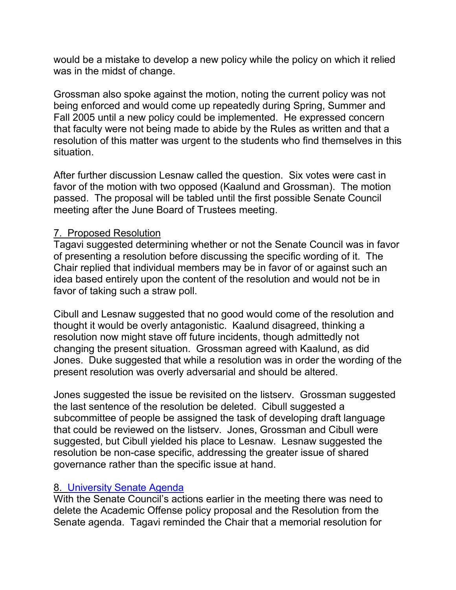would be a mistake to develop a new policy while the policy on which it relied was in the midst of change.

Grossman also spoke against the motion, noting the current policy was not being enforced and would come up repeatedly during Spring, Summer and Fall 2005 until a new policy could be implemented. He expressed concern that faculty were not being made to abide by the Rules as written and that a resolution of this matter was urgent to the students who find themselves in this situation.

After further discussion Lesnaw called the question. Six votes were cast in favor of the motion with two opposed (Kaalund and Grossman). The motion passed. The proposal will be tabled until the first possible Senate Council meeting after the June Board of Trustees meeting.

### 7. Proposed Resolution

Tagavi suggested determining whether or not the Senate Council was in favor of presenting a resolution before discussing the specific wording of it. The Chair replied that individual members may be in favor of or against such an idea based entirely upon the content of the resolution and would not be in favor of taking such a straw poll.

Cibull and Lesnaw suggested that no good would come of the resolution and thought it would be overly antagonistic. Kaalund disagreed, thinking a resolution now might stave off future incidents, though admittedly not changing the present situation. Grossman agreed with Kaalund, as did Jones. Duke suggested that while a resolution was in order the wording of the present resolution was overly adversarial and should be altered.

Jones suggested the issue be revisited on the listserv. Grossman suggested the last sentence of the resolution be deleted. Cibull suggested a subcommittee of people be assigned the task of developing draft language that could be reviewed on the listserv. Jones, Grossman and Cibull were suggested, but Cibull yielded his place to Lesnaw. Lesnaw suggested the resolution be non-case specific, addressing the greater issue of shared governance rather than the specific issue at hand.

### 8. [University Senate Agenda](http://www.uky.edu/USC/New/SCAgendas/20050404/April%2011,%202005.doc)

With the Senate Council's actions earlier in the meeting there was need to delete the Academic Offense policy proposal and the Resolution from the Senate agenda. Tagavi reminded the Chair that a memorial resolution for